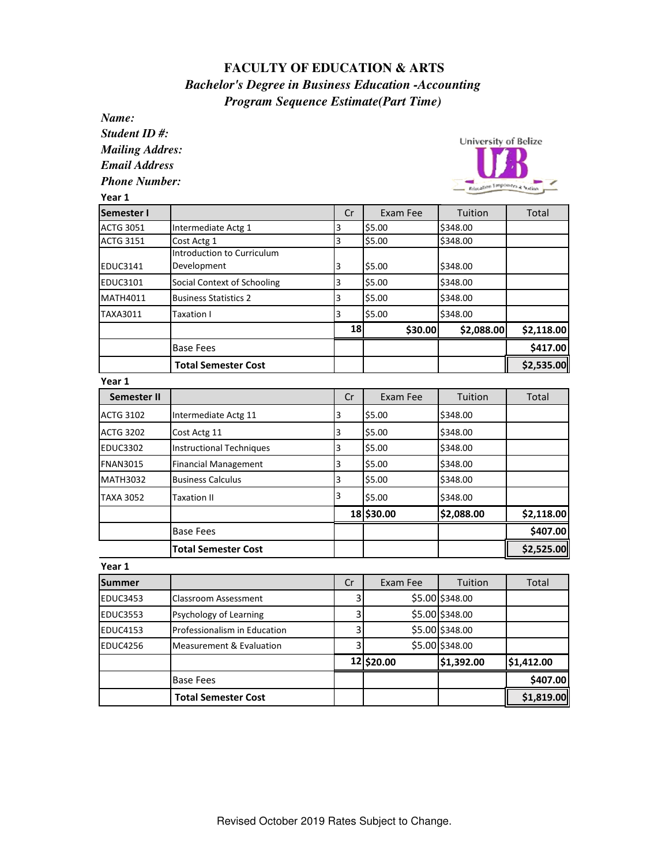## **FACULTY OF EDUCATION & ARTS**  *Bachelor's Degree in Business Education -Accounting Program Sequence Estimate(Part Time)*

| Name:                  |                                                  |         |            |                                |            |  |
|------------------------|--------------------------------------------------|---------|------------|--------------------------------|------------|--|
| Student ID#:           |                                                  |         |            |                                |            |  |
| <b>Mailing Addres:</b> |                                                  |         |            | University of Belize           |            |  |
| <b>Email Address</b>   |                                                  |         |            |                                |            |  |
| <b>Phone Number:</b>   |                                                  |         |            | Friaçation Empoisors & Sorting |            |  |
| Year 1                 |                                                  |         |            |                                |            |  |
| Semester I             |                                                  | Cr      | Exam Fee   | Tuition                        | Total      |  |
| <b>ACTG 3051</b>       | Intermediate Actg 1                              | 3       | \$5.00     | \$348.00                       |            |  |
| <b>ACTG 3151</b>       | Cost Actg 1                                      | 3       | \$5.00     | \$348.00                       |            |  |
| <b>EDUC3141</b>        | <b>Introduction to Curriculum</b><br>Development |         |            |                                |            |  |
|                        |                                                  | 3       | \$5.00     | \$348.00                       |            |  |
| <b>EDUC3101</b>        | Social Context of Schooling                      | 3       | \$5.00     | \$348.00                       |            |  |
| <b>MATH4011</b>        | <b>Business Statistics 2</b>                     | 3       | \$5.00     | \$348.00                       |            |  |
| TAXA3011               | Taxation I                                       | 3<br>18 | \$5.00     | \$348.00                       |            |  |
|                        |                                                  |         | \$30.00    | \$2,088.00                     | \$2,118.00 |  |
|                        | <b>Base Fees</b>                                 |         |            |                                | \$417.00   |  |
|                        | <b>Total Semester Cost</b>                       |         |            |                                | \$2,535.00 |  |
| Year 1                 |                                                  |         |            |                                |            |  |
| <b>Semester II</b>     |                                                  | Cr      | Exam Fee   | Tuition                        | Total      |  |
| <b>ACTG 3102</b>       | Intermediate Actg 11                             | 3       | \$5.00     | \$348.00                       |            |  |
| <b>ACTG 3202</b>       | Cost Actg 11                                     | 3       | \$5.00     | \$348.00                       |            |  |
| <b>EDUC3302</b>        | <b>Instructional Techniques</b>                  | 3       | \$5.00     | \$348.00                       |            |  |
| <b>FNAN3015</b>        | <b>Financial Management</b>                      | 3       | \$5.00     | \$348.00                       |            |  |
| <b>MATH3032</b>        | <b>Business Calculus</b>                         | 3       | \$5.00     | \$348.00                       |            |  |
| <b>TAXA 3052</b>       | Taxation II                                      | 3       | \$5.00     | \$348.00                       |            |  |
|                        |                                                  |         | 18 \$30.00 | \$2,088.00                     | \$2,118.00 |  |
|                        | <b>Base Fees</b>                                 |         |            |                                | \$407.00   |  |
|                        | <b>Total Semester Cost</b>                       |         |            |                                | \$2,525.00 |  |
| Year 1                 |                                                  |         |            |                                |            |  |
| <b>Summer</b>          |                                                  | Cr      | Exam Fee   | Tuition                        | Total      |  |
| <b>EDUC3453</b>        | <b>Classroom Assessment</b>                      | 3       |            | \$5.00 \$348.00                |            |  |
| <b>EDUC3553</b>        | Psychology of Learning                           | 3       |            | \$5.00 \$348.00                |            |  |
| <b>EDUC4153</b>        | Professionalism in Education                     | 3       |            | \$5.00 \$348.00                |            |  |
| <b>EDUC4256</b>        | <b>Measurement &amp; Evaluation</b>              | 3       |            | \$5.00 \$348.00                |            |  |
|                        |                                                  |         | 12 \$20.00 | \$1,392.00                     | \$1,412.00 |  |
|                        | <b>Base Fees</b>                                 |         |            |                                | \$407.00   |  |
|                        | <b>Total Semester Cost</b>                       |         |            |                                | \$1,819.00 |  |
|                        |                                                  |         |            |                                |            |  |